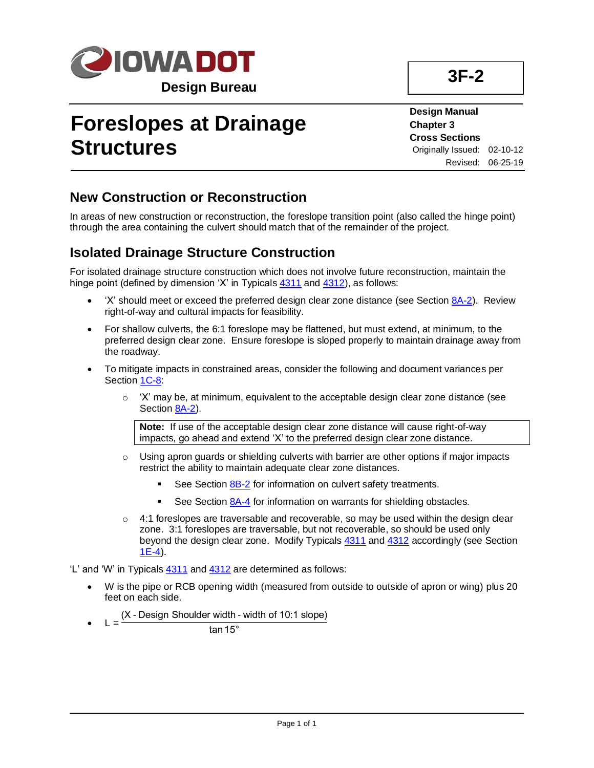

## **Foreslopes at Drainage Structures**

**3F-2**

**Design Manual Chapter 3 Cross Sections** Originally Issued: 02-10-12 Revised: 06-25-19

## **New Construction or Reconstruction**

In areas of new construction or reconstruction, the foreslope transition point (also called the hinge point) through the area containing the culvert should match that of the remainder of the project.

## **Isolated Drainage Structure Construction**

For isolated drainage structure construction which does not involve future reconstruction, maintain the hinge point (defined by dimension 'X' in Typicals  $4311$  and  $4312$ ), as follows:

- 'X' should meet or exceed the preferred design clear zone distance (see Section [8A-2\)](08a-02.pdf). Review right-of-way and cultural impacts for feasibility.
- For shallow culverts, the 6:1 foreslope may be flattened, but must extend, at minimum, to the preferred design clear zone. Ensure foreslope is sloped properly to maintain drainage away from the roadway.
- To mitigate impacts in constrained areas, consider the following and document variances per Section [1C-8:](01c-08.pdf)
	- $\circ$  'X' may be, at minimum, equivalent to the acceptable design clear zone distance (see Section [8A-2\)](08a-02.pdf).

**Note:** If use of the acceptable design clear zone distance will cause right-of-way impacts, go ahead and extend 'X' to the preferred design clear zone distance.

- $\circ$  Using apron guards or shielding culverts with barrier are other options if major impacts restrict the ability to maintain adequate clear zone distances.
	- See Sectio[n 8B-2](08b-02.pdf) for information on culvert safety treatments.
	- See Sectio[n 8A-4](08a-04.pdf) for information on warrants for shielding obstacles.
- 4:1 foreslopes are traversable and recoverable, so may be used within the design clear zone. 3:1 foreslopes are traversable, but not recoverable, so should be used only beyond the design clear zone. Modify Typicals [4311](../tnt/PDFsandWebFiles/IndividualPDFs/4311.pdf) and [4312](../tnt/PDFsandWebFiles/IndividualPDFs/4312.pdf) accordingly (see Section [1E-4\)](01e-04.pdf).

'L' and 'W' in Typicals [4311](../tnt/PDFsandWebFiles/IndividualPDFs/4311.pdf) an[d 4312](../tnt/PDFsandWebFiles/IndividualPDFs/4312.pdf) are determined as follows:

- W is the pipe or RCB opening width (measured from outside to outside of apron or wing) plus 20 feet on each side.
- $\bullet$  L = (X - Design Shoulder width - width of 10:1 slope)

tan15°